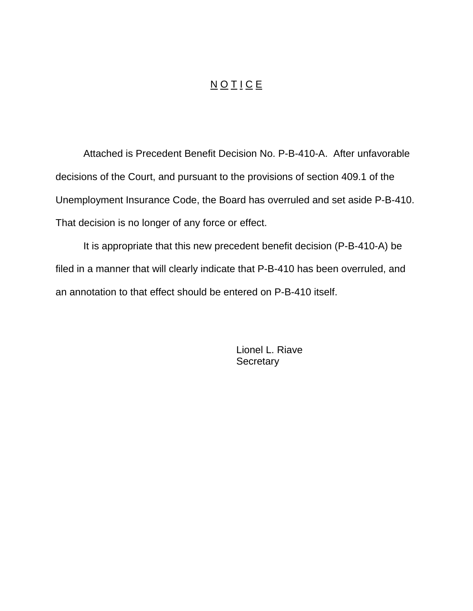## N O T I C E

Attached is Precedent Benefit Decision No. P-B-410-A. After unfavorable decisions of the Court, and pursuant to the provisions of section 409.1 of the Unemployment Insurance Code, the Board has overruled and set aside P-B-410. That decision is no longer of any force or effect.

It is appropriate that this new precedent benefit decision (P-B-410-A) be filed in a manner that will clearly indicate that P-B-410 has been overruled, and an annotation to that effect should be entered on P-B-410 itself.

> Lionel L. Riave **Secretary**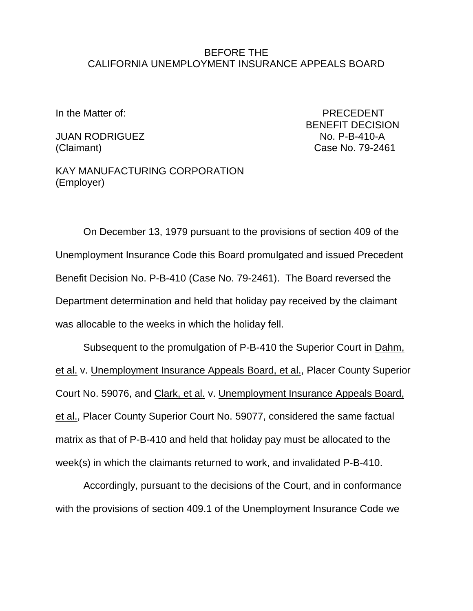## BEFORE THE CALIFORNIA UNEMPLOYMENT INSURANCE APPEALS BOARD

JUAN RODRIGUEZ No. P-B-410-A

In the Matter of: PRECEDENT BENEFIT DECISION (Claimant) Case No. 79-2461

KAY MANUFACTURING CORPORATION (Employer)

On December 13, 1979 pursuant to the provisions of section 409 of the Unemployment Insurance Code this Board promulgated and issued Precedent Benefit Decision No. P-B-410 (Case No. 79-2461). The Board reversed the Department determination and held that holiday pay received by the claimant was allocable to the weeks in which the holiday fell.

Subsequent to the promulgation of P-B-410 the Superior Court in Dahm, et al. v. Unemployment Insurance Appeals Board, et al., Placer County Superior Court No. 59076, and Clark, et al. v. Unemployment Insurance Appeals Board, et al., Placer County Superior Court No. 59077, considered the same factual matrix as that of P-B-410 and held that holiday pay must be allocated to the week(s) in which the claimants returned to work, and invalidated P-B-410.

Accordingly, pursuant to the decisions of the Court, and in conformance with the provisions of section 409.1 of the Unemployment Insurance Code we